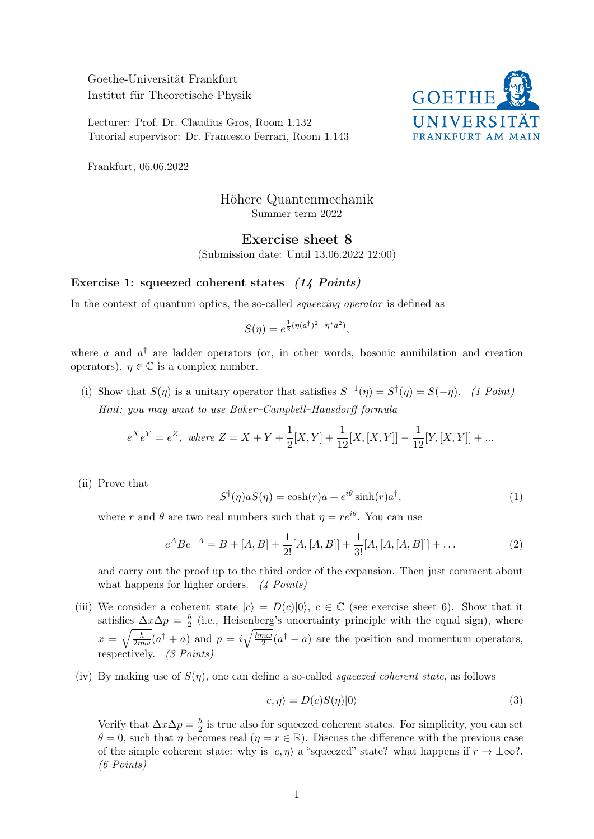Goethe-Universität Frankfurt Institut für Theoretische Physik

Lecturer: Prof. Dr. Claudius Gros, Room 1.132 Tutorial supervisor: Dr. Francesco Ferrari, Room 1.143



Frankfurt, 06.06.2022

## Höhere Quantenmechanik Summer term 2022

## Exercise sheet 8

(Submission date: Until 13.06.2022 12:00)

## Exercise 1: squeezed coherent states (14 Points)

In the context of quantum optics, the so-called *squeezing operator* is defined as

$$
S(\eta) = e^{\frac{1}{2}(\eta(a^{\dagger})^2 - \eta^* a^2)},
$$

where a and  $a^{\dagger}$  are ladder operators (or, in other words, bosonic annihilation and creation operators).  $\eta \in \mathbb{C}$  is a complex number.

(i) Show that  $S(\eta)$  is a unitary operator that satisfies  $S^{-1}(\eta) = S^{\dagger}(\eta) = S(-\eta)$ . (1 Point) Hint: you may want to use Baker–Campbell–Hausdorff formula

$$
e^{X}e^{Y} = e^{Z}
$$
, where  $Z = X + Y + \frac{1}{2}[X, Y] + \frac{1}{12}[X, [X, Y]] - \frac{1}{12}[Y, [X, Y]] + ...$ 

(ii) Prove that

$$
S^{\dagger}(\eta)aS(\eta) = \cosh(r)a + e^{i\theta}\sinh(r)a^{\dagger}, \qquad (1)
$$

where r and  $\theta$  are two real numbers such that  $\eta = re^{i\theta}$ . You can use

$$
e^{A}Be^{-A} = B + [A, B] + \frac{1}{2!}[A, [A, B]] + \frac{1}{3!}[A, [A, [A, B]]] + \dots
$$
\n(2)

and carry out the proof up to the third order of the expansion. Then just comment about what happens for higher orders. (4 Points)

- (iii) We consider a coherent state  $|c\rangle = D(c)|0\rangle$ ,  $c \in \mathbb{C}$  (see exercise sheet 6). Show that it satisfies  $\Delta x \Delta p = \frac{\hbar}{2}$  $\frac{h}{2}$  (i.e., Heisenberg's uncertainty principle with the equal sign), where  $x=\sqrt{\frac{\hbar}{2m}}$  $\frac{\hbar}{2m\omega}(a^{\dagger}+a)$  and  $p=i\sqrt{\frac{\hbar m\omega}{2}}$  $\frac{n\omega}{2}(a^{\dagger}-a)$  are the position and momentum operators, respectively. (3 Points)
- (iv) By making use of  $S(\eta)$ , one can define a so-called *squeezed coherent state*, as follows

$$
|c, \eta\rangle = D(c)S(\eta)|0\rangle \tag{3}
$$

Verify that  $\Delta x \Delta p = \frac{\hbar}{2}$  $\frac{\hbar}{2}$  is true also for squeezed coherent states. For simplicity, you can set  $\theta = 0$ , such that  $\eta$  becomes real  $(\eta = r \in \mathbb{R})$ . Discuss the difference with the previous case of the simple coherent state: why is  $|c, \eta\rangle$  a "squeezed" state? what happens if  $r \to \pm \infty$ ?. (6 Points)